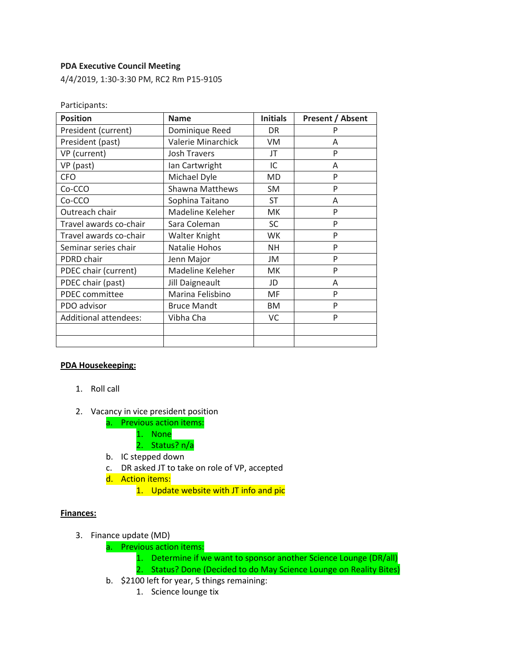### **PDA Executive Council Meeting**

4/4/2019, 1:30-3:30 PM, RC2 Rm P15-9105

| Participants:                |                        |                 |                  |
|------------------------------|------------------------|-----------------|------------------|
| <b>Position</b>              | <b>Name</b>            | <b>Initials</b> | Present / Absent |
| President (current)          | Dominique Reed         | DR.             | P                |
| President (past)             | Valerie Minarchick     | VM.             | A                |
| VP (current)                 | <b>Josh Travers</b>    | JT              | P                |
| VP (past)                    | lan Cartwright         | IC              | A                |
| <b>CFO</b>                   | Michael Dyle           | MD              | P                |
| Co-CCO                       | <b>Shawna Matthews</b> | <b>SM</b>       | P                |
| Co-CCO                       | Sophina Taitano        | ST              | A                |
| Outreach chair               | Madeline Keleher       | <b>MK</b>       | P                |
| Travel awards co-chair       | Sara Coleman           | <b>SC</b>       | P                |
| Travel awards co-chair       | Walter Knight          | WK              | P                |
| Seminar series chair         | Natalie Hohos          | NΗ              | P                |
| PDRD chair                   | Jenn Major             | JM              | P                |
| PDEC chair (current)         | Madeline Keleher       | МK              | P                |
| PDEC chair (past)            | Jill Daigneault        | JD              | A                |
| PDEC committee               | Marina Felisbino       | MF              | P                |
| PDO advisor                  | <b>Bruce Mandt</b>     | <b>BM</b>       | P                |
| <b>Additional attendees:</b> | Vibha Cha              | VC              | P                |
|                              |                        |                 |                  |
|                              |                        |                 |                  |

### **PDA Housekeeping:**

- 1. Roll call
- 2. Vacancy in vice president position
	- a. Previous action items:
		- 1. None
		- 2. Status? n/a
	- b. IC stepped down
	- c. DR asked JT to take on role of VP, accepted
	- d. Action items:
		- 1. Update website with JT info and pic

#### **Finances:**

- 3. Finance update (MD)
	- a. Previous action items:
		- 1. Determine if we want to sponsor another Science Lounge (DR/all)
		- 2. Status? Done (Decided to do May Science Lounge on Reality Bites)
	- b. \$2100 left for year, 5 things remaining:
		- 1. Science lounge tix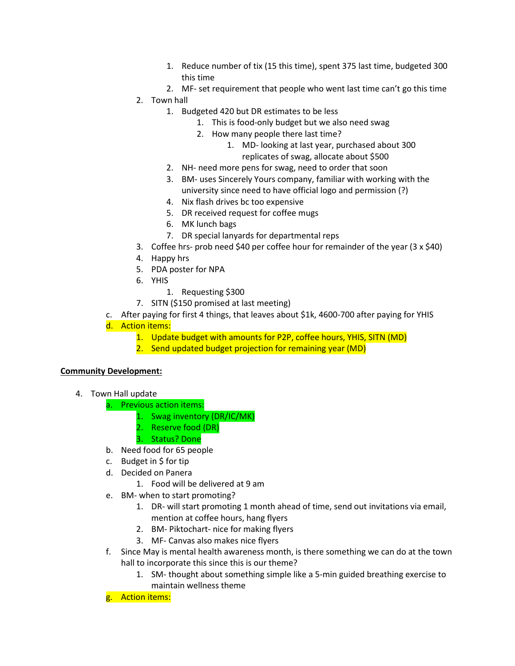- 1. Reduce number of tix (15 this time), spent 375 last time, budgeted 300 this time
- 2. MF- set requirement that people who went last time can't go this time
- 2. Town hall
	- 1. Budgeted 420 but DR estimates to be less
		- 1. This is food-only budget but we also need swag
		- 2. How many people there last time?
			- 1. MD- looking at last year, purchased about 300 replicates of swag, allocate about \$500
	- 2. NH- need more pens for swag, need to order that soon
	- 3. BM- uses Sincerely Yours company, familiar with working with the university since need to have official logo and permission (?)
	- 4. Nix flash drives bc too expensive
	- 5. DR received request for coffee mugs
	- 6. MK lunch bags
	- 7. DR special lanyards for departmental reps
- 3. Coffee hrs- prob need \$40 per coffee hour for remainder of the year (3 x \$40)
- 4. Happy hrs
- 5. PDA poster for NPA
- 6. YHIS
	- 1. Requesting \$300
- 7. SITN (\$150 promised at last meeting)
- c. After paying for first 4 things, that leaves about \$1k, 4600-700 after paying for YHIS
- d. Action items:
	- 1. Update budget with amounts for P2P, coffee hours, YHIS, SITN (MD)
	- 2. Send updated budget projection for remaining year (MD)

### **Community Development:**

- 4. Town Hall update
	- a. Previous action items:
		- 1. Swag inventory (DR/IC/MK)
		- 2. Reserve food (DR)
		- 3. Status? Done
	- b. Need food for 65 people
	- c. Budget in \$ for tip
	- d. Decided on Panera
		- 1. Food will be delivered at 9 am
	- e. BM- when to start promoting?
		- 1. DR- will start promoting 1 month ahead of time, send out invitations via email, mention at coffee hours, hang flyers
		- 2. BM- Piktochart- nice for making flyers
		- 3. MF- Canvas also makes nice flyers
	- f. Since May is mental health awareness month, is there something we can do at the town hall to incorporate this since this is our theme?
		- 1. SM- thought about something simple like a 5-min guided breathing exercise to maintain wellness theme
	- g. Action items: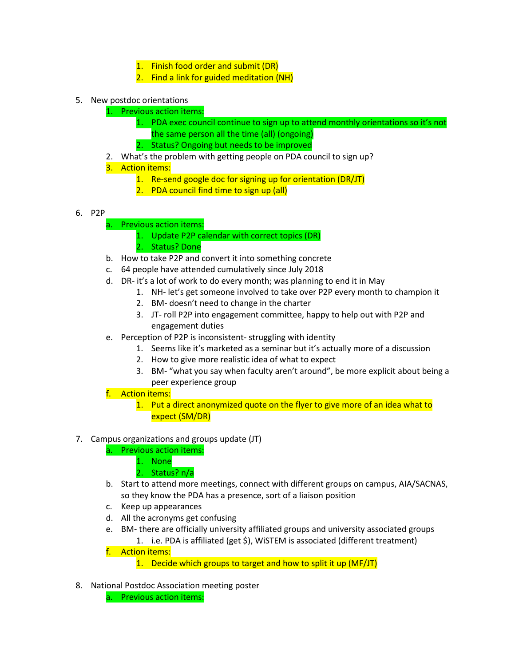- 1. Finish food order and submit (DR)
- 2. Find a link for guided meditation (NH)
- 5. New postdoc orientations
	- 1. Previous action items:
		- 1. PDA exec council continue to sign up to attend monthly orientations so it's not the same person all the time (all) (ongoing)
		- 2. Status? Ongoing but needs to be improved
	- 2. What's the problem with getting people on PDA council to sign up?
	- 3. Action items:
		- 1. Re-send google doc for signing up for orientation (DR/JT)
		- 2. PDA council find time to sign up (all)
- 6. P2P
	- a. Previous action items:
		- 1. Update P2P calendar with correct topics (DR)
		- 2. Status? Done
	- b. How to take P2P and convert it into something concrete
	- c. 64 people have attended cumulatively since July 2018
	- d. DR- it's a lot of work to do every month; was planning to end it in May
		- 1. NH- let's get someone involved to take over P2P every month to champion it
		- 2. BM- doesn't need to change in the charter
		- 3. JT- roll P2P into engagement committee, happy to help out with P2P and engagement duties
	- e. Perception of P2P is inconsistent- struggling with identity
		- 1. Seems like it's marketed as a seminar but it's actually more of a discussion
		- 2. How to give more realistic idea of what to expect
		- 3. BM- "what you say when faculty aren't around", be more explicit about being a peer experience group
	- f. Action items:
		- 1. Put a direct anonymized quote on the flyer to give more of an idea what to expect (SM/DR)

# 7. Campus organizations and groups update (JT)

- a. Previous action items:
	- 1. None
	- 2. Status? n/a
- b. Start to attend more meetings, connect with different groups on campus, AIA/SACNAS, so they know the PDA has a presence, sort of a liaison position
- c. Keep up appearances
- d. All the acronyms get confusing
- e. BM- there are officially university affiliated groups and university associated groups 1. i.e. PDA is affiliated (get \$), WiSTEM is associated (different treatment)
- f. Action items:
	- 1. Decide which groups to target and how to split it up (MF/JT)
- 8. National Postdoc Association meeting poster
	- a. Previous action items: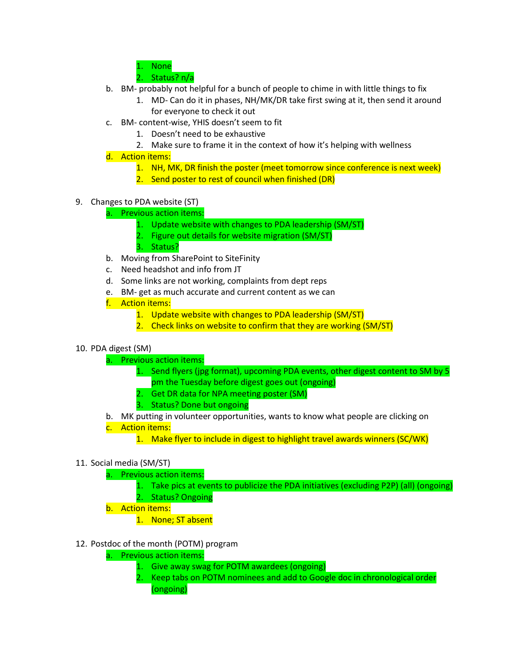1. None

2. Status? n/a

- b. BM- probably not helpful for a bunch of people to chime in with little things to fix
	- 1. MD- Can do it in phases, NH/MK/DR take first swing at it, then send it around for everyone to check it out
- c. BM- content-wise, YHIS doesn't seem to fit
	- 1. Doesn't need to be exhaustive
	- 2. Make sure to frame it in the context of how it's helping with wellness
- d. Action items:
	- 1. NH, MK, DR finish the poster (meet tomorrow since conference is next week)
	- 2. Send poster to rest of council when finished (DR)
- 9. Changes to PDA website (ST)
	- a. Previous action items:
		- 1. Update website with changes to PDA leadership (SM/ST)
		- 2. Figure out details for website migration (SM/ST)
		- 3. Status?
	- b. Moving from SharePoint to SiteFinity
	- c. Need headshot and info from JT
	- d. Some links are not working, complaints from dept reps
	- e. BM- get as much accurate and current content as we can
	- f. Action items:
		- 1. Update website with changes to PDA leadership (SM/ST)
		- 2. Check links on website to confirm that they are working (SM/ST)
- 10. PDA digest (SM)
	- a. Previous action items:
		- 1. Send flyers (jpg format), upcoming PDA events, other digest content to SM by 5 pm the Tuesday before digest goes out (ongoing)
		- 2. Get DR data for NPA meeting poster (SM)
		- 3. Status? Done but ongoing
	- b. MK putting in volunteer opportunities, wants to know what people are clicking on
	- c. Action items:
		- 1. Make flyer to include in digest to highlight travel awards winners (SC/WK)

### 11. Social media (SM/ST)

- a. Previous action items:
	- 1. Take pics at events to publicize the PDA initiatives (excluding P2P) (all) (ongoing)
	- 2. Status? Ongoing
- b. Action items:
	- 1. None; ST absent
- 12. Postdoc of the month (POTM) program
	- a. Previous action items:
		- 1. Give away swag for POTM awardees (ongoing)
		- 2. Keep tabs on POTM nominees and add to Google doc in chronological order (ongoing)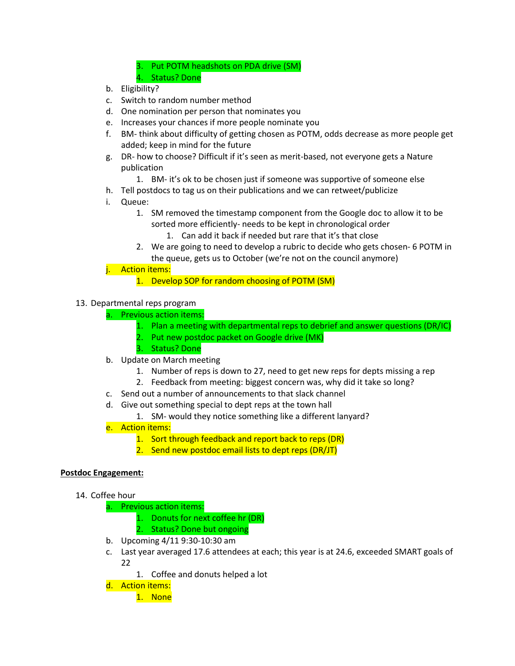3. Put POTM headshots on PDA drive (SM)

- 4. Status? Done
- b. Eligibility?
- c. Switch to random number method
- d. One nomination per person that nominates you
- e. Increases your chances if more people nominate you
- f. BM- think about difficulty of getting chosen as POTM, odds decrease as more people get added; keep in mind for the future
- g. DR- how to choose? Difficult if it's seen as merit-based, not everyone gets a Nature publication
	- 1. BM- it's ok to be chosen just if someone was supportive of someone else
- h. Tell postdocs to tag us on their publications and we can retweet/publicize
- i. Queue:
	- 1. SM removed the timestamp component from the Google doc to allow it to be sorted more efficiently- needs to be kept in chronological order
		- 1. Can add it back if needed but rare that it's that close
	- 2. We are going to need to develop a rubric to decide who gets chosen- 6 POTM in the queue, gets us to October (we're not on the council anymore)

## j. Action items:

1. Develop SOP for random choosing of POTM (SM)

## 13. Departmental reps program

- a. Previous action items:
	- 1. Plan a meeting with departmental reps to debrief and answer questions (DR/IC)
	- 2. Put new postdoc packet on Google drive (MK)
	- 3. Status? Done
- b. Update on March meeting
	- 1. Number of reps is down to 27, need to get new reps for depts missing a rep
	- 2. Feedback from meeting: biggest concern was, why did it take so long?
- c. Send out a number of announcements to that slack channel
- d. Give out something special to dept reps at the town hall
	- 1. SM- would they notice something like a different lanyard?
- e. Action items:
	- 1. Sort through feedback and report back to reps (DR)
	- 2. Send new postdoc email lists to dept reps (DR/JT)

### **Postdoc Engagement:**

- 14. Coffee hour
	- a. Previous action items:
		- 1. Donuts for next coffee hr (DR)
		- 2. Status? Done but ongoing
	- b. Upcoming 4/11 9:30-10:30 am
	- c. Last year averaged 17.6 attendees at each; this year is at 24.6, exceeded SMART goals of 22
		- 1. Coffee and donuts helped a lot
	- d. Action items:
		- 1. None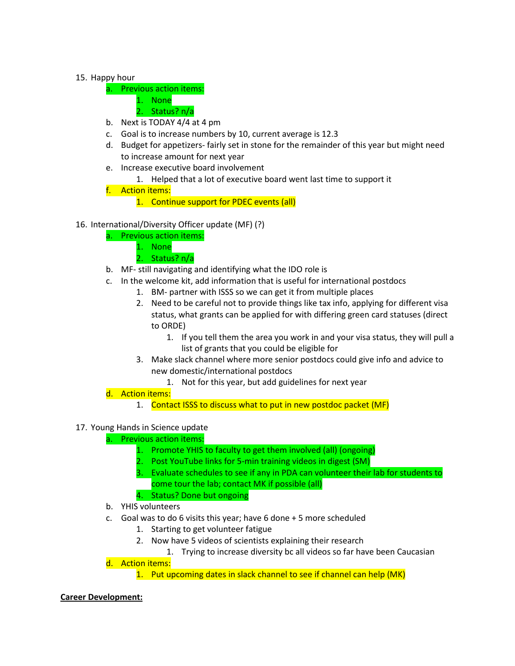## 15. Happy hour

- a. Previous action items:
	- 1. None
	- 2. Status? n/a
- b. Next is TODAY 4/4 at 4 pm
- c. Goal is to increase numbers by 10, current average is 12.3
- d. Budget for appetizers- fairly set in stone for the remainder of this year but might need to increase amount for next year
- e. Increase executive board involvement
	- 1. Helped that a lot of executive board went last time to support it
- f. Action items:
	- 1. Continue support for PDEC events (all)
- 16. International/Diversity Officer update (MF) (?)
	- a. Previous action items:
		- 1. None
			- 2. Status? n/a
	- b. MF- still navigating and identifying what the IDO role is
	- c. In the welcome kit, add information that is useful for international postdocs
		- 1. BM- partner with ISSS so we can get it from multiple places
		- 2. Need to be careful not to provide things like tax info, applying for different visa status, what grants can be applied for with differing green card statuses (direct to ORDE)
			- 1. If you tell them the area you work in and your visa status, they will pull a list of grants that you could be eligible for
		- 3. Make slack channel where more senior postdocs could give info and advice to new domestic/international postdocs
			- 1. Not for this year, but add guidelines for next year
	- d. Action items:
		- 1. Contact ISSS to discuss what to put in new postdoc packet (MF)

# 17. Young Hands in Science update

### a. Previous action items:

- 1. Promote YHIS to faculty to get them involved (all) (ongoing)
- 2. Post YouTube links for 5-min training videos in digest (SM)
- 3. Evaluate schedules to see if any in PDA can volunteer their lab for students to come tour the lab; contact MK if possible (all)
- 4. Status? Done but ongoing
- b. YHIS volunteers
- c. Goal was to do 6 visits this year; have 6 done + 5 more scheduled
	- 1. Starting to get volunteer fatigue
	- 2. Now have 5 videos of scientists explaining their research
		- 1. Trying to increase diversity bc all videos so far have been Caucasian
- d. Action items:

1. Put upcoming dates in slack channel to see if channel can help (MK)

### **Career Development:**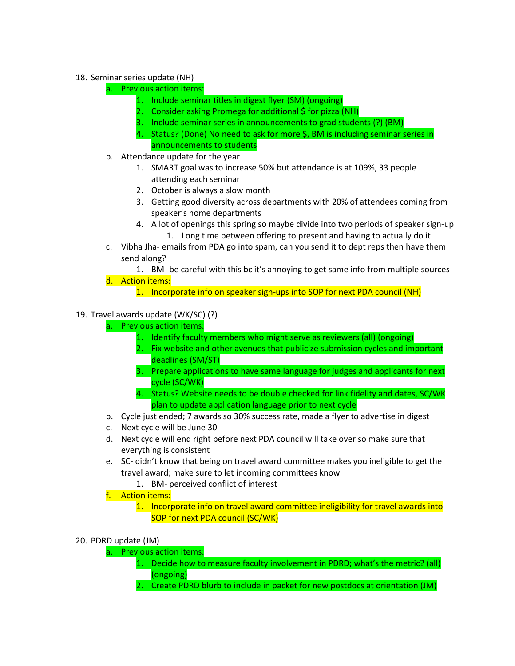# 18. Seminar series update (NH)

a. Previous action items:

- 1. Include seminar titles in digest flyer (SM) (ongoing)
- 2. Consider asking Promega for additional \$ for pizza (NH)
- 3. Include seminar series in announcements to grad students (?) (BM)
- 4. Status? (Done) No need to ask for more \$, BM is including seminar series in announcements to students
- b. Attendance update for the year
	- 1. SMART goal was to increase 50% but attendance is at 109%, 33 people attending each seminar
	- 2. October is always a slow month
	- 3. Getting good diversity across departments with 20% of attendees coming from speaker's home departments
	- 4. A lot of openings this spring so maybe divide into two periods of speaker sign-up 1. Long time between offering to present and having to actually do it
- c. Vibha Jha- emails from PDA go into spam, can you send it to dept reps then have them send along?

1. BM- be careful with this bc it's annoying to get same info from multiple sources d. Action items:

1. Incorporate info on speaker sign-ups into SOP for next PDA council (NH)

## 19. Travel awards update (WK/SC) (?)

- a. Previous action items:
	- 1. Identify faculty members who might serve as reviewers (all) (ongoing)
	- 2. Fix website and other avenues that publicize submission cycles and important deadlines (SM/ST)
	- 3. Prepare applications to have same language for judges and applicants for next cycle (SC/WK)
	- 4. Status? Website needs to be double checked for link fidelity and dates, SC/WK plan to update application language prior to next cycle
- b. Cycle just ended; 7 awards so 30% success rate, made a flyer to advertise in digest
- c. Next cycle will be June 30
- d. Next cycle will end right before next PDA council will take over so make sure that everything is consistent
- e. SC- didn't know that being on travel award committee makes you ineligible to get the travel award; make sure to let incoming committees know
	- 1. BM- perceived conflict of interest
- f. Action items:
	- 1. Incorporate info on travel award committee ineligibility for travel awards into SOP for next PDA council (SC/WK)
- 20. PDRD update (JM)
	- a. Previous action items:
		- 1. Decide how to measure faculty involvement in PDRD; what's the metric? (all) (ongoing)
		- 2. Create PDRD blurb to include in packet for new postdocs at orientation (JM)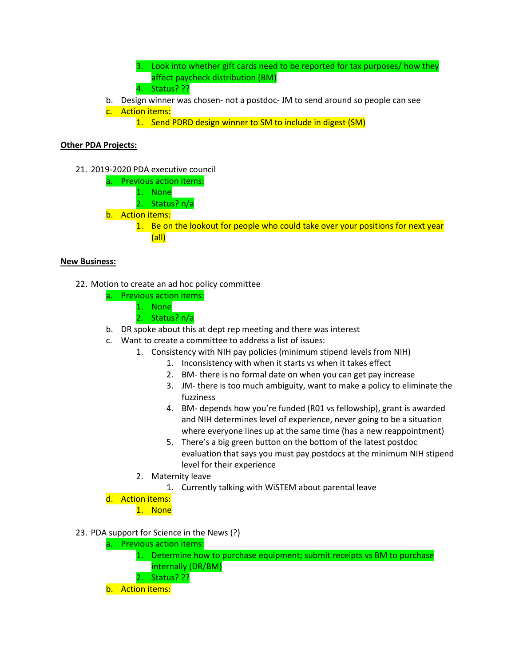- 3. Look into whether gift cards need to be reported for tax purposes/ how they affect paycheck distribution (BM) 4. Status? ??
- b. Design winner was chosen- not a postdoc- JM to send around so people can see c. Action items:
	- 1. Send PDRD design winner to SM to include in digest (SM)

### **Other PDA Projects:**

- 21. 2019-2020 PDA executive council
	- a. Previous action items:
		- 1. None
		- 2. Status? n/a
	- b. Action items:
		- 1. Be on the lookout for people who could take over your positions for next year (all)

### **New Business:**

- 22. Motion to create an ad hoc policy committee
	- a. Previous action items:
		- 1. None
		- 2. Status? n/a
	- b. DR spoke about this at dept rep meeting and there was interest
	- c. Want to create a committee to address a list of issues:
		- 1. Consistency with NIH pay policies (minimum stipend levels from NIH)
			- 1. Inconsistency with when it starts vs when it takes effect
			- 2. BM- there is no formal date on when you can get pay increase
			- 3. JM- there is too much ambiguity, want to make a policy to eliminate the fuzziness
			- 4. BM- depends how you're funded (R01 vs fellowship), grant is awarded and NIH determines level of experience, never going to be a situation where everyone lines up at the same time (has a new reappointment)
			- 5. There's a big green button on the bottom of the latest postdoc evaluation that says you must pay postdocs at the minimum NIH stipend level for their experience
		- 2. Maternity leave
			- 1. Currently talking with WiSTEM about parental leave

d. Action items:

1. None

- 23. PDA support for Science in the News (?)
	- a. Previous action items:
		- 1. Determine how to purchase equipment; submit receipts vs BM to purchase internally (DR/BM)
		- 2. Status? ??
	- b. Action items: